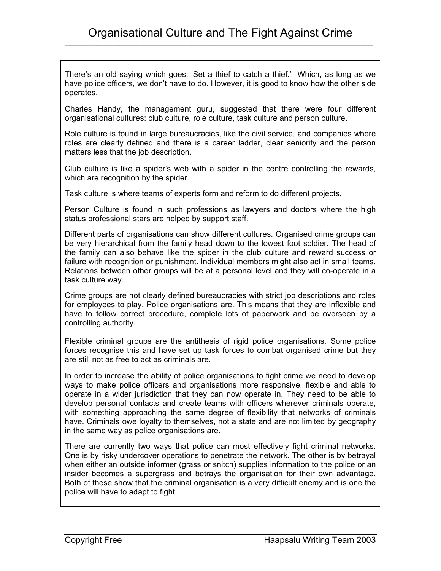There's an old saying which goes: 'Set a thief to catch a thief.' Which, as long as we have police officers, we don't have to do. However, it is good to know how the other side operates.

Charles Handy, the management guru, suggested that there were four different organisational cultures: club culture, role culture, task culture and person culture.

Role culture is found in large bureaucracies, like the civil service, and companies where roles are clearly defined and there is a career ladder, clear seniority and the person matters less that the job description.

Club culture is like a spider's web with a spider in the centre controlling the rewards, which are recognition by the spider.

Task culture is where teams of experts form and reform to do different projects.

Person Culture is found in such professions as lawyers and doctors where the high status professional stars are helped by support staff.

Different parts of organisations can show different cultures. Organised crime groups can be very hierarchical from the family head down to the lowest foot soldier. The head of the family can also behave like the spider in the club culture and reward success or failure with recognition or punishment. Individual members might also act in small teams. Relations between other groups will be at a personal level and they will co-operate in a task culture way.

Crime groups are not clearly defined bureaucracies with strict job descriptions and roles for employees to play. Police organisations are. This means that they are inflexible and have to follow correct procedure, complete lots of paperwork and be overseen by a controlling authority.

Flexible criminal groups are the antithesis of rigid police organisations. Some police forces recognise this and have set up task forces to combat organised crime but they are still not as free to act as criminals are.

In order to increase the ability of police organisations to fight crime we need to develop ways to make police officers and organisations more responsive, flexible and able to operate in a wider jurisdiction that they can now operate in. They need to be able to develop personal contacts and create teams with officers wherever criminals operate, with something approaching the same degree of flexibility that networks of criminals have. Criminals owe loyalty to themselves, not a state and are not limited by geography in the same way as police organisations are.

There are currently two ways that police can most effectively fight criminal networks. One is by risky undercover operations to penetrate the network. The other is by betrayal when either an outside informer (grass or snitch) supplies information to the police or an insider becomes a supergrass and betrays the organisation for their own advantage. Both of these show that the criminal organisation is a very difficult enemy and is one the police will have to adapt to fight.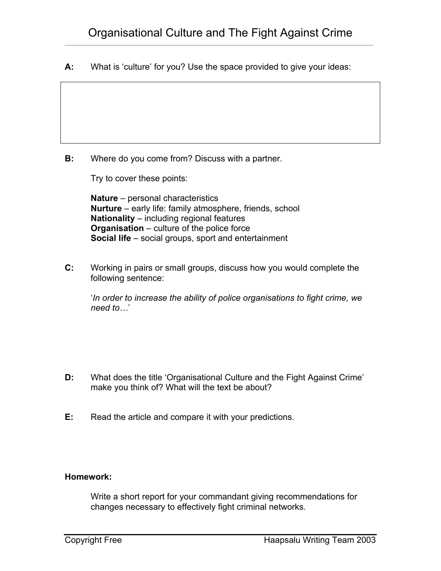**A:** What is 'culture' for you? Use the space provided to give your ideas:

**B:** Where do you come from? Discuss with a partner.

Try to cover these points:

**Nature** – personal characteristics **Nurture** – early life: family atmosphere, friends, school **Nationality** – including regional features **Organisation** – culture of the police force **Social life** – social groups, sport and entertainment

**C:** Working in pairs or small groups, discuss how you would complete the following sentence:

'*In order to increase the ability of police organisations to fight crime, we need to…*'

- **D:** What does the title 'Organisational Culture and the Fight Against Crime' make you think of? What will the text be about?
- **E:** Read the article and compare it with your predictions.

## **Homework:**

Write a short report for your commandant giving recommendations for changes necessary to effectively fight criminal networks.